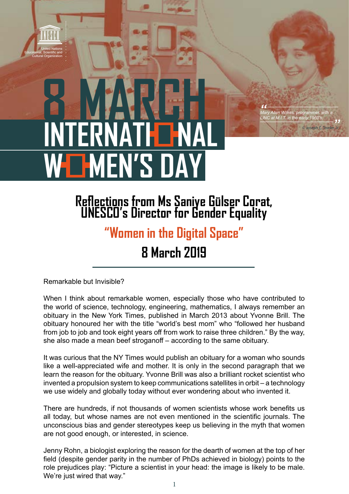## **8 MARCH INTERNA WEN'S DAY**

**Reflections from Ms Saniye Gülser Corat, UNESCO's Director for Gender Equality**

|<br>|<br>| Ma

 $\mathcal{A}^{\mathcal{A}}$  ,  $\mathcal{A}^{\mathcal{A}}$  ,  $\mathcal{A}^{\mathcal{A}}$  ,  $\mathcal{A}^{\mathcal{A}}$  ,  $\mathcal{A}^{\mathcal{A}}$  ,  $\mathcal{A}^{\mathcal{A}}$  ,  $\mathcal{A}^{\mathcal{A}}$  ,  $\mathcal{A}^{\mathcal{A}}$  ,  $\mathcal{A}^{\mathcal{A}}$  ,  $\mathcal{A}^{\mathcal{A}}$  ,  $\mathcal{A}^{\mathcal{A}}$  ,  $\mathcal{A}^{\mathcal{A}}$  ,  $\mathcal{$ *Mary Allen Wilkes, programmer, with a LINC at M.I.T. in the early 1960's. \_\_\_\_\_\_\_\_\_\_\_\_\_\_\_\_\_\_\_\_\_\_\_\_\_\_\_\_\_\_\_*

© Joseph C. To

.<br>*r, Jr.* 

## **"Women in the Digital Space"**

**8 March 2019**

Remarkable but Invisible?

United Nations Educational, Scientific and Cultural Organization

> When I think about remarkable women, especially those who have contributed to the world of science, technology, engineering, mathematics, I always remember an obituary in the New York Times, published in March 2013 about Yvonne Brill. The obituary honoured her with the title "world's best mom" who "followed her husband from job to job and took eight years off from work to raise three children." By the way, she also made a mean beef stroganoff – according to the same obituary.

> It was curious that the NY Times would publish an obituary for a woman who sounds like a well-appreciated wife and mother. It is only in the second paragraph that we learn the reason for the obituary. Yvonne Brill was also a brilliant rocket scientist who invented a propulsion system to keep communications satellites in orbit – a technology we use widely and globally today without ever wondering about who invented it.

> There are hundreds, if not thousands of women scientists whose work benefits us all today, but whose names are not even mentioned in the scientific journals. The unconscious bias and gender stereotypes keep us believing in the myth that women are not good enough, or interested, in science.

> Jenny Rohn, a biologist exploring the reason for the dearth of women at the top of her field (despite gender parity in the number of PhDs achieved in biology) points to the role prejudices play: "Picture a scientist in your head: the image is likely to be male. We're just wired that way."